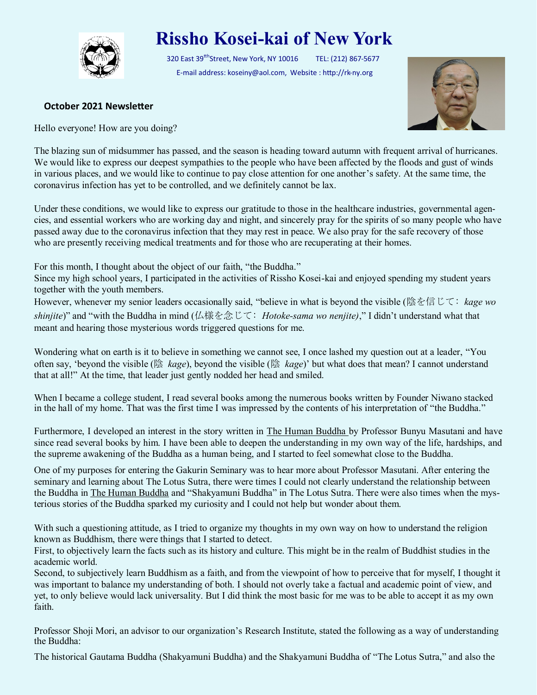

## **Rissho Kosei-kai of New York**

320 East 39<sup>tth</sup>Street, New York, NY 10016 TEL: (212) 867-5677 E-mail address: koseiny@aol.com, Website : http://rk-ny.org



## **October 2021 Newsletter**

Hello everyone! How are you doing?

The blazing sun of midsummer has passed, and the season is heading toward autumn with frequent arrival of hurricanes. We would like to express our deepest sympathies to the people who have been affected by the floods and gust of winds in various places, and we would like to continue to pay close attention for one another's safety. At the same time, the coronavirus infection has yet to be controlled, and we definitely cannot be lax.

Under these conditions, we would like to express our gratitude to those in the healthcare industries, governmental agencies, and essential workers who are working day and night, and sincerely pray for the spirits of so many people who have passed away due to the coronavirus infection that they may rest in peace. We also pray for the safe recovery of those who are presently receiving medical treatments and for those who are recuperating at their homes.

For this month, I thought about the object of our faith, "the Buddha."

Since my high school years, I participated in the activities of Rissho Kosei-kai and enjoyed spending my student years together with the youth members.

However, whenever my senior leaders occasionally said, "believe in what is beyond the visible (陰を信じて: *kage wo shinjite*)" and "with the Buddha in mind (仏様を念じて: *Hotoke-sama wo nenjite)*," I didn't understand what that meant and hearing those mysterious words triggered questions for me.

Wondering what on earth is it to believe in something we cannot see, I once lashed my question out at a leader, "You often say, 'beyond the visible (陰 *kage*), beyond the visible (陰 *kage*)' but what does that mean? I cannot understand that at all!" At the time, that leader just gently nodded her head and smiled.

When I became a college student, I read several books among the numerous books written by Founder Niwano stacked in the hall of my home. That was the first time I was impressed by the contents of his interpretation of "the Buddha."

Furthermore, I developed an interest in the story written in The Human Buddha by Professor Bunyu Masutani and have since read several books by him. I have been able to deepen the understanding in my own way of the life, hardships, and the supreme awakening of the Buddha as a human being, and I started to feel somewhat close to the Buddha.

One of my purposes for entering the Gakurin Seminary was to hear more about Professor Masutani. After entering the seminary and learning about The Lotus Sutra, there were times I could not clearly understand the relationship between the Buddha in The Human Buddha and "Shakyamuni Buddha" in The Lotus Sutra. There were also times when the mysterious stories of the Buddha sparked my curiosity and I could not help but wonder about them.

With such a questioning attitude, as I tried to organize my thoughts in my own way on how to understand the religion known as Buddhism, there were things that I started to detect.

First, to objectively learn the facts such as its history and culture. This might be in the realm of Buddhist studies in the academic world.

Second, to subjectively learn Buddhism as a faith, and from the viewpoint of how to perceive that for myself, I thought it was important to balance my understanding of both. I should not overly take a factual and academic point of view, and yet, to only believe would lack universality. But I did think the most basic for me was to be able to accept it as my own faith.

Professor Shoji Mori, an advisor to our organization's Research Institute, stated the following as a way of understanding the Buddha:

The historical Gautama Buddha (Shakyamuni Buddha) and the Shakyamuni Buddha of "The Lotus Sutra," and also the